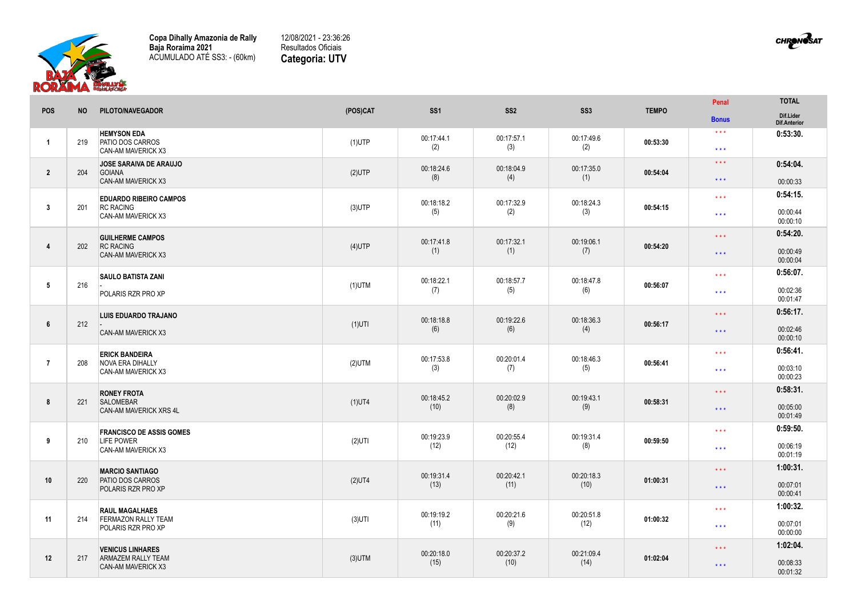

**Copa Dihally Amazonia de Rally Baja Roraima 2021** ACUMULADO ATÉ SS3: - (60km)

12/08/2021 - 23:36:26 Resultados Oficiais **Categoria: UTV**

| <b>CHRONOSAT</b> |
|------------------|
|------------------|

|                         |           |                                                                               |           |                    |                    |                    |              | Penal                                        | <b>TOTAL</b>                     |
|-------------------------|-----------|-------------------------------------------------------------------------------|-----------|--------------------|--------------------|--------------------|--------------|----------------------------------------------|----------------------------------|
| <b>POS</b>              | <b>NO</b> | PILOTO/NAVEGADOR                                                              | (POS)CAT  | SS <sub>1</sub>    | SS <sub>2</sub>    | SS <sub>3</sub>    | <b>TEMPO</b> | <b>Bonus</b>                                 | Dif.Lider<br>Dif.Anterior        |
| $\overline{1}$          | 219       | <b>HEMYSON EDA</b><br><b>PATIO DOS CARROS</b><br>CAN-AM MAVERICK X3           | $(1)$ UTP | 00:17:44.1<br>(2)  | 00:17:57.1<br>(3)  | 00:17:49.6<br>(2)  | 00:53:30     | $\star$ $\star$ $\star$<br>$\star\star\star$ | 0:53:30.                         |
| $\overline{2}$          | 204       | <b>JOSE SARAIVA DE ARAUJO</b><br><b>GOIANA</b><br><b>CAN-AM MAVERICK X3</b>   | $(2)$ UTP | 00:18:24.6<br>(8)  | 00:18:04.9<br>(4)  | 00:17:35.0<br>(1)  | 00:54:04     | $\star\star\star$<br>$\star\star\star$       | 0:54:04.<br>00:00:33             |
| $\overline{\mathbf{3}}$ | 201       | <b>EDUARDO RIBEIRO CAMPOS</b><br><b>RC RACING</b><br>CAN-AM MAVERICK X3       | $(3)$ UTP | 00:18:18.2<br>(5)  | 00:17:32.9<br>(2)  | 00:18:24.3<br>(3)  | 00:54:15     | $\star \star \star$<br>$\star\star\star$     | 0:54:15.<br>00:00:44<br>00:00:10 |
| $\overline{4}$          | 202       | <b>GUILHERME CAMPOS</b><br><b>RC RACING</b><br><b>CAN-AM MAVERICK X3</b>      | $(4)$ UTP | 00:17:41.8<br>(1)  | 00:17:32.1<br>(1)  | 00:19:06.1<br>(7)  | 00:54:20     | $\star\star\star$<br>$\star\star\star$       | 0:54:20.<br>00:00:49<br>00:00:04 |
| 5                       | 216       | <b>SAULO BATISTA ZANI</b><br>POLARIS RZR PRO XP                               | $(1)$ UTM | 00:18:22.1<br>(7)  | 00:18:57.7<br>(5)  | 00:18:47.8<br>(6)  | 00:56:07     | $\star\star\star$<br>$***$                   | 0:56:07.<br>00:02:36<br>00:01:47 |
| 6                       | 212       | <b>LUIS EDUARDO TRAJANO</b><br>CAN-AM MAVERICK X3                             | $(1)$ UTI | 00:18:18.8<br>(6)  | 00:19:22.6<br>(6)  | 00:18:36.3<br>(4)  | 00:56:17     | $\star$ $\star$ $\star$<br>$\star\star\star$ | 0:56:17.<br>00:02:46<br>00:00:10 |
| $\overline{7}$          | 208       | <b>ERICK BANDEIRA</b><br><b>NOVA ERA DIHALLY</b><br><b>CAN-AM MAVERICK X3</b> | $(2)$ UTM | 00:17:53.8<br>(3)  | 00:20:01.4<br>(7)  | 00:18:46.3<br>(5)  | 00:56:41     | $\star\star\star$<br>$\star\star\star$       | 0:56:41.<br>00:03:10<br>00:00:23 |
| 8                       | 221       | <b>RONEY FROTA</b><br><b>SALOMEBAR</b><br>CAN-AM MAVERICK XRS 4L              | $(1)$ UT4 | 00:18:45.2<br>(10) | 00:20:02.9<br>(8)  | 00:19:43.1<br>(9)  | 00:58:31     | $\star\star\star$<br>$\star\star\star$       | 0:58:31.<br>00:05:00<br>00:01:49 |
| 9                       | 210       | <b>FRANCISCO DE ASSIS GOMES</b><br><b>LIFE POWER</b><br>CAN-AM MAVERICK X3    | $(2)$ UTI | 00:19:23.9<br>(12) | 00:20:55.4<br>(12) | 00:19:31.4<br>(8)  | 00:59:50     | $\star\star\star$<br>$\star\star\star$       | 0:59:50.<br>00:06:19<br>00:01:19 |
| 10                      | 220       | <b>MARCIO SANTIAGO</b><br><b>PATIO DOS CARROS</b><br>POLARIS RZR PRO XP       | $(2)$ UT4 | 00:19:31.4<br>(13) | 00:20:42.1<br>(11) | 00:20:18.3<br>(10) | 01:00:31     | $\star \star \star$<br>$\star\star\star$     | 1:00:31.<br>00:07:01<br>00:00:41 |
| 11                      | 214       | <b>RAUL MAGALHAES</b><br><b>FERMAZON RALLY TEAM</b><br>POLARIS RZR PRO XP     | $(3)$ UTI | 00:19:19.2<br>(11) | 00:20:21.6<br>(9)  | 00:20:51.8<br>(12) | 01:00:32     | $***$<br>$\star\star\star$                   | 1:00:32.<br>00:07:01<br>00:00:00 |
| 12                      | 217       | <b>VENICUS LINHARES</b><br><b>ARMAZEM RALLY TEAM</b><br>CAN-AM MAVERICK X3    | $(3)$ UTM | 00:20:18.0<br>(15) | 00:20:37.2<br>(10) | 00:21:09.4<br>(14) | 01:02:04     | $\star \star \star$<br>$\star\star\star$     | 1:02:04.<br>00:08:33<br>00:01:32 |